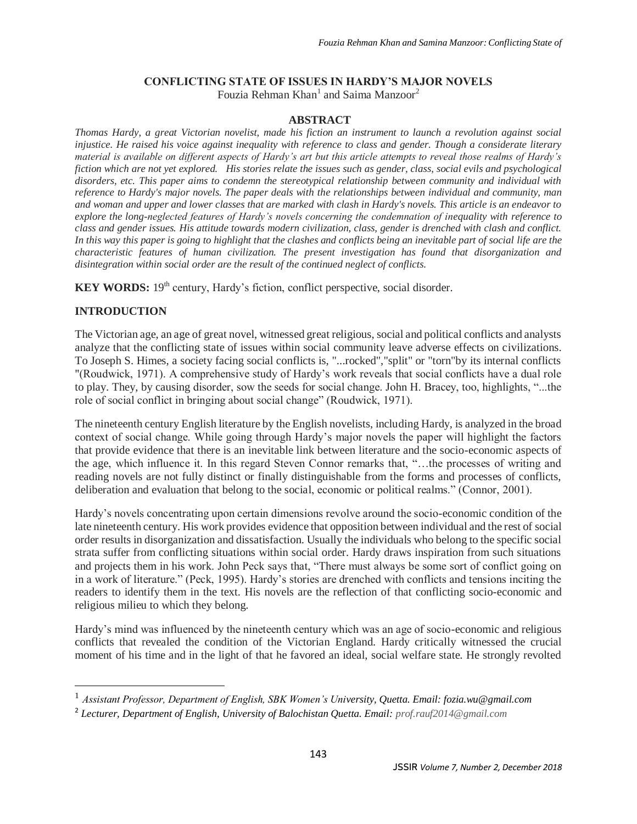## **CONFLICTING STATE OF ISSUES IN HARDY'S MAJOR NOVELS**

Fouzia Rehman Khan<sup>1</sup> and Saima Manzoor<sup>2</sup>

## **ABSTRACT**

*Thomas Hardy, a great Victorian novelist, made his fiction an instrument to launch a revolution against social injustice. He raised his voice against inequality with reference to class and gender. Though a considerate literary material is available on different aspects of Hardy's art but this article attempts to reveal those realms of Hardy's fiction which are not yet explored. His stories relate the issues such as gender, class, social evils and psychological disorders, etc. This paper aims to condemn the stereotypical relationship between community and individual with reference to Hardy's major novels. The paper deals with the relationships between individual and community, man and woman and upper and lower classes that are marked with clash in Hardy's novels. This article is an endeavor to explore the long-neglected features of Hardy's novels concerning the condemnation of inequality with reference to class and gender issues. His attitude towards modern civilization, class, gender is drenched with clash and conflict. In this way this paper is going to highlight that the clashes and conflicts being an inevitable part of social life are the characteristic features of human civilization. The present investigation has found that disorganization and disintegration within social order are the result of the continued neglect of conflicts.*

**KEY WORDS:** 19<sup>th</sup> century, Hardy's fiction, conflict perspective, social disorder.

## **INTRODUCTION**

 $\overline{a}$ 

The Victorian age, an age of great novel, witnessed great religious, social and political conflicts and analysts analyze that the conflicting state of issues within social community leave adverse effects on civilizations. To Joseph S. Himes, a society facing social conflicts is, "...rocked","split" or "torn"by its internal conflicts "(Roudwick, 1971). A comprehensive study of Hardy's work reveals that social conflicts have a dual role to play. They, by causing disorder, sow the seeds for social change. John H. Bracey, too, highlights, "...the role of social conflict in bringing about social change" (Roudwick, 1971).

The nineteenth century English literature by the English novelists, including Hardy, is analyzed in the broad context of social change. While going through Hardy's major novels the paper will highlight the factors that provide evidence that there is an inevitable link between literature and the socio-economic aspects of the age, which influence it. In this regard Steven Connor remarks that, "…the processes of writing and reading novels are not fully distinct or finally distinguishable from the forms and processes of conflicts, deliberation and evaluation that belong to the social, economic or political realms." (Connor, 2001).

Hardy's novels concentrating upon certain dimensions revolve around the socio-economic condition of the late nineteenth century. His work provides evidence that opposition between individual and the rest of social order results in disorganization and dissatisfaction. Usually the individuals who belong to the specific social strata suffer from conflicting situations within social order. Hardy draws inspiration from such situations and projects them in his work. John Peck says that, "There must always be some sort of conflict going on in a work of literature." (Peck, 1995). Hardy's stories are drenched with conflicts and tensions inciting the readers to identify them in the text. His novels are the reflection of that conflicting socio-economic and religious milieu to which they belong.

Hardy's mind was influenced by the nineteenth century which was an age of socio-economic and religious conflicts that revealed the condition of the Victorian England. Hardy critically witnessed the crucial moment of his time and in the light of that he favored an ideal, social welfare state. He strongly revolted

<sup>1</sup> *Assistant Professor, Department of English, SBK Women's University, Quetta. Email: fozia.wu@gmail.com*

<sup>2</sup> *Lecturer, Department of English, University of Balochistan Quetta. Email: prof.rauf2014@gmail.com*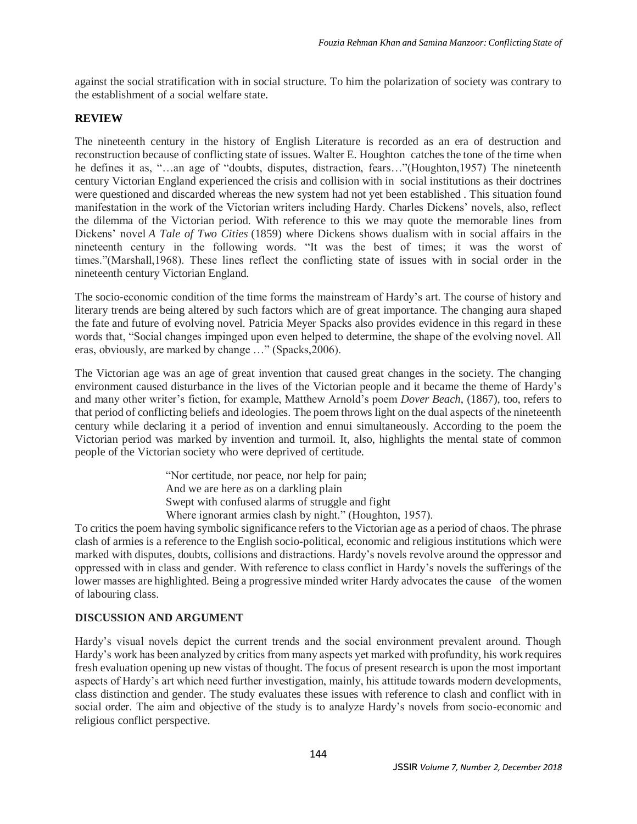against the social stratification with in social structure. To him the polarization of society was contrary to the establishment of a social welfare state.

#### **REVIEW**

The nineteenth century in the history of English Literature is recorded as an era of destruction and reconstruction because of conflicting state of issues. Walter E. Houghton catches the tone of the time when he defines it as, "…an age of "doubts, disputes, distraction, fears…"(Houghton,1957) The nineteenth century Victorian England experienced the crisis and collision with in social institutions as their doctrines were questioned and discarded whereas the new system had not yet been established . This situation found manifestation in the work of the Victorian writers including Hardy. Charles Dickens' novels, also, reflect the dilemma of the Victorian period. With reference to this we may quote the memorable lines from Dickens' novel *A Tale of Two Cities* (1859) where Dickens shows dualism with in social affairs in the nineteenth century in the following words. "It was the best of times; it was the worst of times."(Marshall,1968). These lines reflect the conflicting state of issues with in social order in the nineteenth century Victorian England.

The socio-economic condition of the time forms the mainstream of Hardy's art. The course of history and literary trends are being altered by such factors which are of great importance. The changing aura shaped the fate and future of evolving novel. Patricia Meyer Spacks also provides evidence in this regard in these words that, "Social changes impinged upon even helped to determine, the shape of the evolving novel. All eras, obviously, are marked by change …" (Spacks,2006).

The Victorian age was an age of great invention that caused great changes in the society. The changing environment caused disturbance in the lives of the Victorian people and it became the theme of Hardy's and many other writer's fiction, for example, Matthew Arnold's poem *Dover Beach*, (1867), too, refers to that period of conflicting beliefs and ideologies. The poem throws light on the dual aspects of the nineteenth century while declaring it a period of invention and ennui simultaneously. According to the poem the Victorian period was marked by invention and turmoil. It, also, highlights the mental state of common people of the Victorian society who were deprived of certitude.

> "Nor certitude, nor peace, nor help for pain; And we are here as on a darkling plain Swept with confused alarms of struggle and fight Where ignorant armies clash by night." (Houghton, 1957).

To critics the poem having symbolic significance refers to the Victorian age as a period of chaos. The phrase clash of armies is a reference to the English socio-political, economic and religious institutions which were marked with disputes, doubts, collisions and distractions. Hardy's novels revolve around the oppressor and oppressed with in class and gender. With reference to class conflict in Hardy's novels the sufferings of the lower masses are highlighted. Being a progressive minded writer Hardy advocates the cause of the women of labouring class.

## **DISCUSSION AND ARGUMENT**

Hardy's visual novels depict the current trends and the social environment prevalent around. Though Hardy's work has been analyzed by critics from many aspects yet marked with profundity, his work requires fresh evaluation opening up new vistas of thought. The focus of present research is upon the most important aspects of Hardy's art which need further investigation, mainly, his attitude towards modern developments, class distinction and gender. The study evaluates these issues with reference to clash and conflict with in social order. The aim and objective of the study is to analyze Hardy's novels from socio-economic and religious conflict perspective.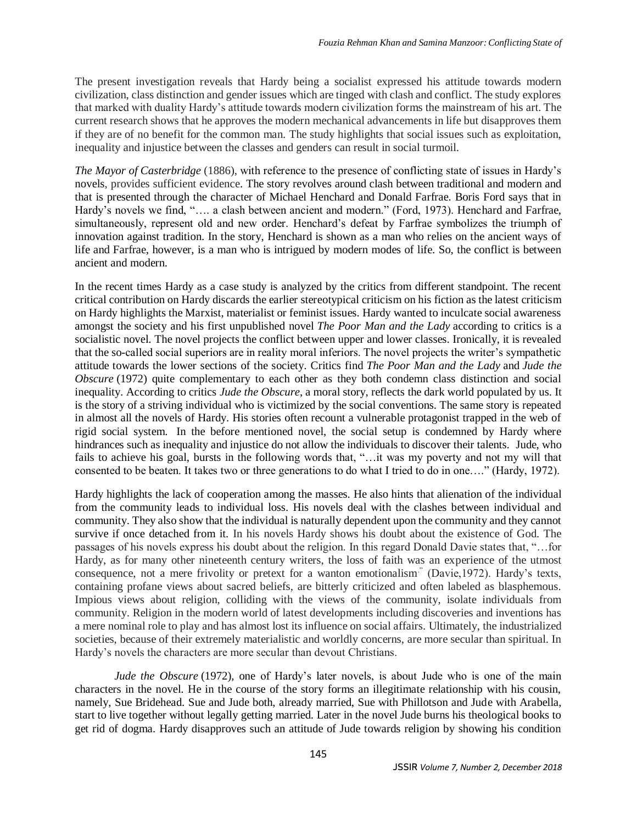The present investigation reveals that Hardy being a socialist expressed his attitude towards modern civilization, class distinction and gender issues which are tinged with clash and conflict. The study explores that marked with duality Hardy's attitude towards modern civilization forms the mainstream of his art. The current research shows that he approves the modern mechanical advancements in life but disapproves them if they are of no benefit for the common man. The study highlights that social issues such as exploitation, inequality and injustice between the classes and genders can result in social turmoil.

*The Mayor of Casterbridge* (1886), with reference to the presence of conflicting state of issues in Hardy's novels, provides sufficient evidence. The story revolves around clash between traditional and modern and that is presented through the character of Michael Henchard and Donald Farfrae. Boris Ford says that in Hardy's novels we find, "…. a clash between ancient and modern." (Ford, 1973). Henchard and Farfrae, simultaneously, represent old and new order. Henchard's defeat by Farfrae symbolizes the triumph of innovation against tradition. In the story, Henchard is shown as a man who relies on the ancient ways of life and Farfrae, however, is a man who is intrigued by modern modes of life. So, the conflict is between ancient and modern.

In the recent times Hardy as a case study is analyzed by the critics from different standpoint. The recent critical contribution on Hardy discards the earlier stereotypical criticism on his fiction as the latest criticism on Hardy highlights the Marxist, materialist or feminist issues. Hardy wanted to inculcate social awareness amongst the society and his first unpublished novel *The Poor Man and the Lady* according to critics is a socialistic novel. The novel projects the conflict between upper and lower classes. Ironically, it is revealed that the so-called social superiors are in reality moral inferiors. The novel projects the writer's sympathetic attitude towards the lower sections of the society. Critics find *The Poor Man and the Lady* and *Jude the Obscure* (1972) quite complementary to each other as they both condemn class distinction and social inequality. According to critics *Jude the Obscure*, a moral story, reflects the dark world populated by us. It is the story of a striving individual who is victimized by the social conventions. The same story is repeated in almost all the novels of Hardy. His stories often recount a vulnerable protagonist trapped in the web of rigid social system. In the before mentioned novel, the social setup is condemned by Hardy where hindrances such as inequality and injustice do not allow the individuals to discover their talents. Jude, who fails to achieve his goal, bursts in the following words that, "…it was my poverty and not my will that consented to be beaten. It takes two or three generations to do what I tried to do in one…." (Hardy, 1972).

Hardy highlights the lack of cooperation among the masses. He also hints that alienation of the individual from the community leads to individual loss. His novels deal with the clashes between individual and community. They also show that the individual is naturally dependent upon the community and they cannot survive if once detached from it. In his novels Hardy shows his doubt about the existence of God. The passages of his novels express his doubt about the religion. In this regard Donald Davie states that, "…for Hardy, as for many other nineteenth century writers, the loss of faith was an experience of the utmost consequence, not a mere frivolity or pretext for a wanton emotionalism<sup>"</sup> (Davie, 1972). Hardy's texts, containing profane views about sacred beliefs, are bitterly criticized and often labeled as blasphemous. Impious views about religion, colliding with the views of the community, isolate individuals from community. Religion in the modern world of latest developments including discoveries and inventions has a mere nominal role to play and has almost lost its influence on social affairs. Ultimately, the industrialized societies, because of their extremely materialistic and worldly concerns, are more secular than spiritual. In Hardy's novels the characters are more secular than devout Christians.

*Jude the Obscure* (1972), one of Hardy's later novels, is about Jude who is one of the main characters in the novel. He in the course of the story forms an illegitimate relationship with his cousin, namely, Sue Bridehead. Sue and Jude both, already married, Sue with Phillotson and Jude with Arabella, start to live together without legally getting married. Later in the novel Jude burns his theological books to get rid of dogma. Hardy disapproves such an attitude of Jude towards religion by showing his condition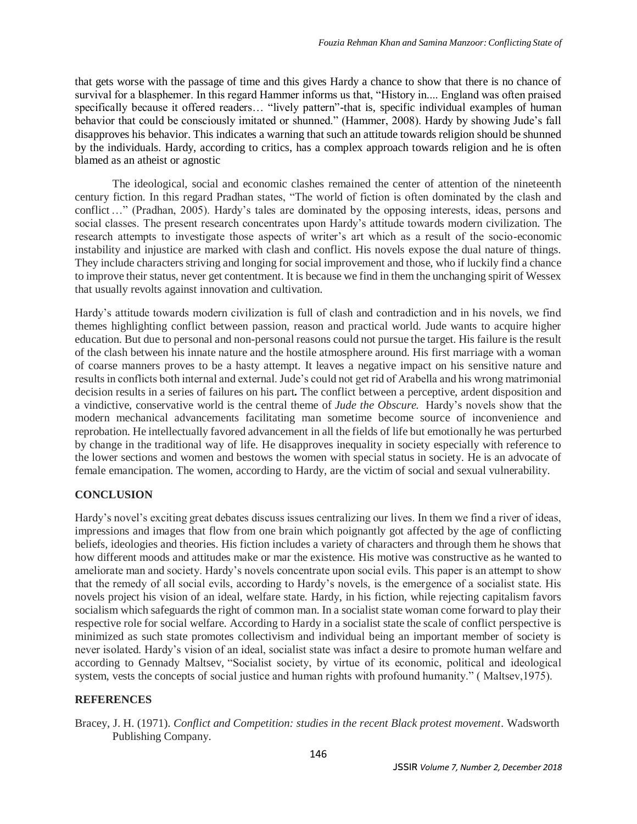that gets worse with the passage of time and this gives Hardy a chance to show that there is no chance of survival for a blasphemer. In this regard Hammer informs us that, "History in.... England was often praised specifically because it offered readers... "lively pattern"-that is, specific individual examples of human behavior that could be consciously imitated or shunned." (Hammer, 2008). Hardy by showing Jude's fall disapproves his behavior. This indicates a warning that such an attitude towards religion should be shunned by the individuals. Hardy, according to critics, has a complex approach towards religion and he is often blamed as an atheist or agnostic

The ideological, social and economic clashes remained the center of attention of the nineteenth century fiction. In this regard Pradhan states, "The world of fiction is often dominated by the clash and conflict…" (Pradhan, 2005). Hardy's tales are dominated by the opposing interests, ideas, persons and social classes. The present research concentrates upon Hardy's attitude towards modern civilization. The research attempts to investigate those aspects of writer's art which as a result of the socio-economic instability and injustice are marked with clash and conflict. His novels expose the dual nature of things. They include characters striving and longing for social improvement and those, who if luckily find a chance to improve their status, never get contentment. It is because we find in them the unchanging spirit of Wessex that usually revolts against innovation and cultivation.

Hardy's attitude towards modern civilization is full of clash and contradiction and in his novels, we find themes highlighting conflict between passion, reason and practical world. Jude wants to acquire higher education. But due to personal and non-personal reasons could not pursue the target. His failure is the result of the clash between his innate nature and the hostile atmosphere around. His first marriage with a woman of coarse manners proves to be a hasty attempt. It leaves a negative impact on his sensitive nature and results in conflicts both internal and external. Jude's could not get rid of Arabella and his wrong matrimonial decision results in a series of failures on his part*.* The conflict between a perceptive, ardent disposition and a vindictive, conservative world is the central theme of *Jude the Obscure.* Hardy's novels show that the modern mechanical advancements facilitating man sometime become source of inconvenience and reprobation. He intellectually favored advancement in all the fields of life but emotionally he was perturbed by change in the traditional way of life. He disapproves inequality in society especially with reference to the lower sections and women and bestows the women with special status in society. He is an advocate of female emancipation. The women, according to Hardy, are the victim of social and sexual vulnerability.

# **CONCLUSION**

Hardy's novel's exciting great debates discuss issues centralizing our lives. In them we find a river of ideas, impressions and images that flow from one brain which poignantly got affected by the age of conflicting beliefs, ideologies and theories. His fiction includes a variety of characters and through them he shows that how different moods and attitudes make or mar the existence. His motive was constructive as he wanted to ameliorate man and society. Hardy's novels concentrate upon social evils. This paper is an attempt to show that the remedy of all social evils, according to Hardy's novels, is the emergence of a socialist state. His novels project his vision of an ideal, welfare state. Hardy, in his fiction, while rejecting capitalism favors socialism which safeguards the right of common man. In a socialist state woman come forward to play their respective role for social welfare. According to Hardy in a socialist state the scale of conflict perspective is minimized as such state promotes collectivism and individual being an important member of society is never isolated. Hardy's vision of an ideal, socialist state was infact a desire to promote human welfare and according to Gennady Maltsev, "Socialist society, by virtue of its economic, political and ideological system, vests the concepts of social justice and human rights with profound humanity." ( Maltsev,1975).

## **REFERENCES**

Bracey, J. H. (1971). *Conflict and Competition: studies in the recent Black protest movement*. Wadsworth Publishing Company.